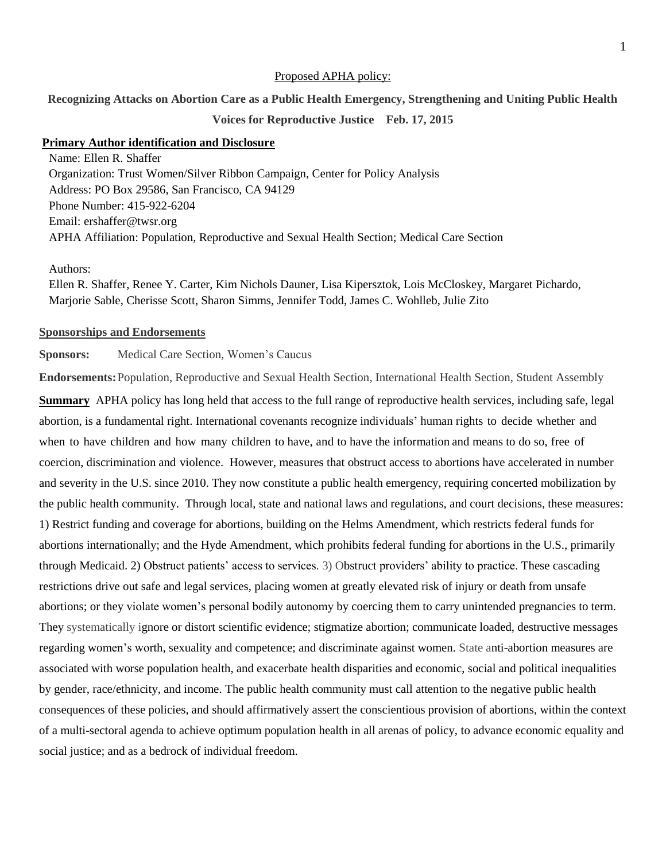#### Proposed APHA policy:

**Recognizing Attacks on Abortion Care as a Public Health Emergency, Strengthening and Uniting Public Health** 

## **Voices for Reproductive Justice Feb. 17, 2015**

## **Primary Author identification and Disclosure**

Name: Ellen R. Shaffer Organization: Trust Women/Silver Ribbon Campaign, Center for Policy Analysis Address: PO Box 29586, San Francisco, CA 94129 Phone Number: 415-922-6204 Email: ershaffer@twsr.org APHA Affiliation: Population, Reproductive and Sexual Health Section; Medical Care Section

## Authors:

Ellen R. Shaffer, Renee Y. Carter, Kim Nichols Dauner, Lisa Kipersztok, Lois McCloskey, Margaret Pichardo, Marjorie Sable, Cherisse Scott, Sharon Simms, Jennifer Todd, James C. Wohlleb, Julie Zito

#### **Sponsorships and Endorsements**

**Sponsors:** Medical Care Section, Women's Caucus

**Endorsements:**Population, Reproductive and Sexual Health Section, International Health Section, Student Assembly

**Summary** APHA policy has long held that access to the full range of reproductive health services, including safe, legal abortion, is a fundamental right. International covenants recognize individuals' human rights to decide whether and when to have children and how many children to have, and to have the information and means to do so, free of coercion, discrimination and violence. However, measures that obstruct access to abortions have accelerated in number and severity in the U.S. since 2010. They now constitute a public health emergency, requiring concerted mobilization by the public health community. Through local, state and national laws and regulations, and court decisions, these measures: 1) Restrict funding and coverage for abortions, building on the Helms Amendment, which restricts federal funds for abortions internationally; and the Hyde Amendment, which prohibits federal funding for abortions in the U.S., primarily through Medicaid. 2) Obstruct patients' access to services. 3) Obstruct providers' ability to practice. These cascading restrictions drive out safe and legal services, placing women at greatly elevated risk of injury or death from unsafe abortions; or they violate women's personal bodily autonomy by coercing them to carry unintended pregnancies to term. They systematically ignore or distort scientific evidence; stigmatize abortion; communicate loaded, destructive messages regarding women's worth, sexuality and competence; and discriminate against women. State anti-abortion measures are associated with worse population health, and exacerbate health disparities and economic, social and political inequalities by gender, race/ethnicity, and income. The public health community must call attention to the negative public health consequences of these policies, and should affirmatively assert the conscientious provision of abortions, within the context of a multi-sectoral agenda to achieve optimum population health in all arenas of policy, to advance economic equality and social justice; and as a bedrock of individual freedom.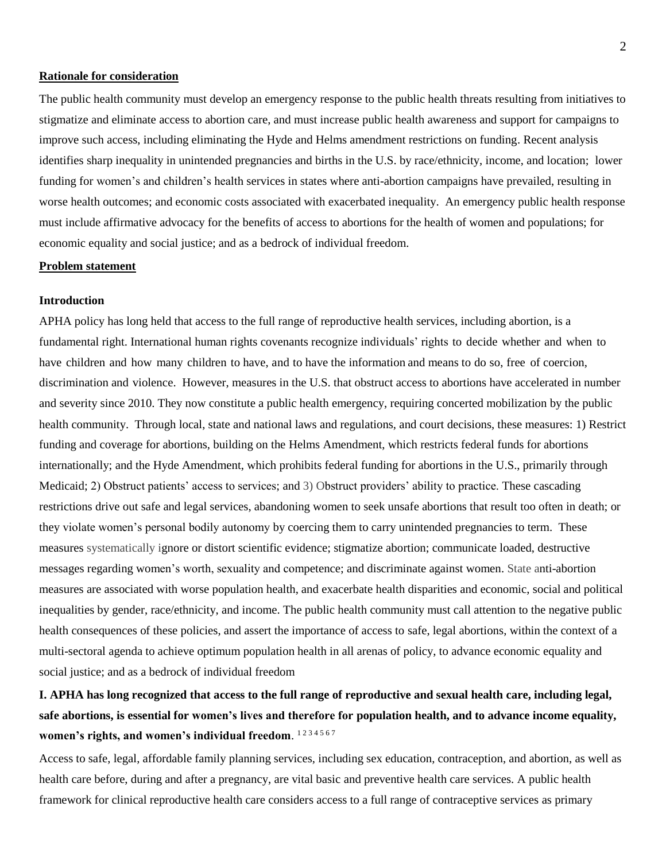## **Rationale for consideration**

The public health community must develop an emergency response to the public health threats resulting from initiatives to stigmatize and eliminate access to abortion care, and must increase public health awareness and support for campaigns to improve such access, including eliminating the Hyde and Helms amendment restrictions on funding. Recent analysis identifies sharp inequality in unintended pregnancies and births in the U.S. by race/ethnicity, income, and location; lower funding for women's and children's health services in states where anti-abortion campaigns have prevailed, resulting in worse health outcomes; and economic costs associated with exacerbated inequality. An emergency public health response must include affirmative advocacy for the benefits of access to abortions for the health of women and populations; for economic equality and social justice; and as a bedrock of individual freedom.

## **Problem statement**

#### **Introduction**

APHA policy has long held that access to the full range of reproductive health services, including abortion, is a fundamental right. International human rights covenants recognize individuals' rights to decide whether and when to have children and how many children to have, and to have the information and means to do so, free of coercion, discrimination and violence. However, measures in the U.S. that obstruct access to abortions have accelerated in number and severity since 2010. They now constitute a public health emergency, requiring concerted mobilization by the public health community. Through local, state and national laws and regulations, and court decisions, these measures: 1) Restrict funding and coverage for abortions, building on the Helms Amendment, which restricts federal funds for abortions internationally; and the Hyde Amendment, which prohibits federal funding for abortions in the U.S., primarily through Medicaid; 2) Obstruct patients' access to services; and 3) Obstruct providers' ability to practice. These cascading restrictions drive out safe and legal services, abandoning women to seek unsafe abortions that result too often in death; or they violate women's personal bodily autonomy by coercing them to carry unintended pregnancies to term. These measures systematically ignore or distort scientific evidence; stigmatize abortion; communicate loaded, destructive messages regarding women's worth, sexuality and competence; and discriminate against women. State anti-abortion measures are associated with worse population health, and exacerbate health disparities and economic, social and political inequalities by gender, race/ethnicity, and income. The public health community must call attention to the negative public health consequences of these policies, and assert the importance of access to safe, legal abortions, within the context of a multi-sectoral agenda to achieve optimum population health in all arenas of policy, to advance economic equality and social justice; and as a bedrock of individual freedom

# **I. APHA has long recognized that access to the full range of reproductive and sexual health care, including legal, safe abortions, is essential for women's lives and therefore for population health, and to advance income equality, women's rights, and women's individual freedom**. 1 2 3 4 5 6 7

Access to safe, legal, affordable family planning services, including sex education, contraception, and abortion, as well as health care before, during and after a pregnancy, are vital basic and preventive health care services. A public health framework for clinical reproductive health care considers access to a full range of contraceptive services as primary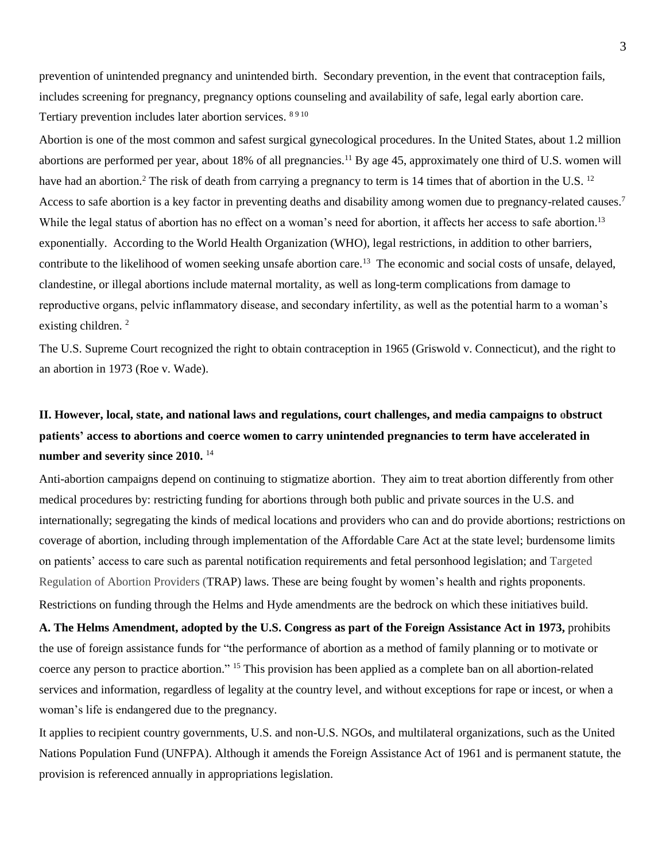prevention of unintended pregnancy and unintended birth. Secondary prevention, in the event that contraception fails, includes screening for pregnancy, pregnancy options counseling and availability of safe, legal early abortion care. Tertiary prevention includes later abortion services. 8910

Abortion is one of the most common and safest surgical gynecological procedures. In the United States, about 1.2 million abortions are performed per year, about 18% of all pregnancies.<sup>11</sup> By age 45, approximately one third of U.S. women will have had an abortion.<sup>2</sup> The risk of death from carrying a pregnancy to term is 14 times that of abortion in the U.S. <sup>12</sup> Access to safe abortion is a key factor in preventing deaths and disability among women due to pregnancy-related causes.<sup>7</sup> While the legal status of abortion has no effect on a woman's need for abortion, it affects her access to safe abortion.<sup>13</sup> exponentially. According to the World Health Organization (WHO), legal restrictions, in addition to other barriers, contribute to the likelihood of women seeking unsafe abortion care.<sup>13</sup> The economic and social costs of unsafe, delayed, clandestine, or illegal abortions include maternal mortality, as well as long-term complications from damage to reproductive organs, pelvic inflammatory disease, and secondary infertility, as well as the potential harm to a woman's existing children.<sup>2</sup>

The U.S. Supreme Court recognized the right to obtain contraception in 1965 (Griswold v. Connecticut), and the right to an abortion in 1973 (Roe v. Wade).

# **II. However, local, state, and national laws and regulations, court challenges, and media campaigns to obstruct patients' access to abortions and coerce women to carry unintended pregnancies to term have accelerated in number and severity since 2010.** <sup>14</sup>

Anti-abortion campaigns depend on continuing to stigmatize abortion. They aim to treat abortion differently from other medical procedures by: restricting funding for abortions through both public and private sources in the U.S. and internationally; segregating the kinds of medical locations and providers who can and do provide abortions; restrictions on coverage of abortion, including through implementation of the Affordable Care Act at the state level; burdensome limits on patients' access to care such as parental notification requirements and fetal personhood legislation; and Targeted Regulation of Abortion Providers (TRAP) laws. These are being fought by women's health and rights proponents. Restrictions on funding through the Helms and Hyde amendments are the bedrock on which these initiatives build.

**A. The Helms Amendment, adopted by the U.S. Congress as part of the Foreign Assistance Act in 1973,** prohibits the use of foreign assistance funds for "the performance of abortion as a method of family planning or to motivate or coerce any person to practice abortion." <sup>15</sup> This provision has been applied as a complete ban on all abortion-related services and information, regardless of legality at the country level, and without exceptions for rape or incest, or when a woman's life is endangered due to the pregnancy.

It applies to recipient country governments, U.S. and non-U.S. NGOs, and multilateral organizations, such as the United Nations Population Fund (UNFPA). Although it amends the Foreign Assistance Act of 1961 and is permanent statute, the provision is referenced annually in appropriations legislation.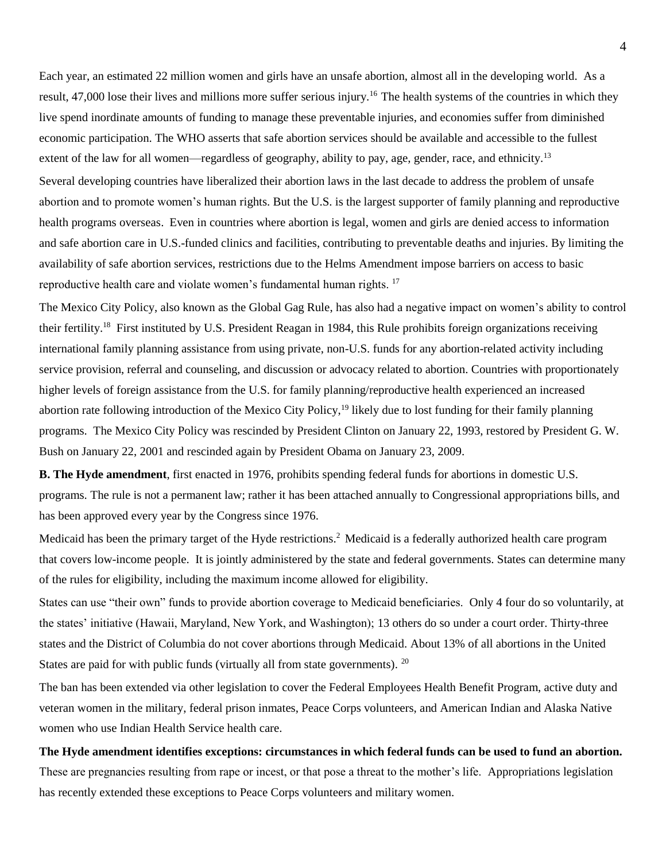Each year, an estimated 22 million women and girls have an unsafe abortion, almost all in the developing world. As a result, 47,000 lose their lives and millions more suffer serious injury.<sup>16</sup> The health systems of the countries in which they live spend inordinate amounts of funding to manage these preventable injuries, and economies suffer from diminished economic participation. The WHO asserts that safe abortion services should be available and accessible to the fullest extent of the law for all women—regardless of geography, ability to pay, age, gender, race, and ethnicity.<sup>13</sup> Several developing countries have liberalized their abortion laws in the last decade to address the problem of unsafe abortion and to promote women's human rights. But the U.S. is the largest supporter of family planning and reproductive health programs overseas. Even in countries where abortion is legal, women and girls are denied access to information and safe abortion care in U.S.-funded clinics and facilities, contributing to preventable deaths and injuries. By limiting the availability of safe abortion services, restrictions due to the Helms Amendment impose barriers on access to basic reproductive health care and violate women's fundamental human rights. <sup>17</sup>

The Mexico City Policy, also known as the Global Gag Rule, has also had a negative impact on women's ability to control their fertility.<sup>18</sup> First instituted by U.S. President Reagan in 1984, this Rule prohibits foreign organizations receiving international family planning assistance from using private, non-U.S. funds for any abortion-related activity including service provision, referral and counseling, and discussion or advocacy related to abortion. Countries with proportionately higher levels of foreign assistance from the U.S. for family planning/reproductive health experienced an increased abortion rate following introduction of the Mexico City Policy,<sup>19</sup> likely due to lost funding for their family planning programs. The Mexico City Policy was rescinded by President Clinton on January 22, 1993, restored by President G. W. Bush on January 22, 2001 and rescinded again by President Obama on January 23, 2009.

**B. The Hyde amendment**, first enacted in 1976, prohibits spending federal funds for abortions in domestic U.S. programs. The rule is not a permanent law; rather it has been attached annually to Congressional appropriations bills, and has been approved every year by the Congress since 1976.

Medicaid has been the primary target of the Hyde restrictions.<sup>2</sup> Medicaid is a federally authorized health care program that covers low-income people. It is jointly administered by the state and federal governments. States can determine many of the rules for eligibility, including the maximum income allowed for eligibility.

States can use "their own" funds to provide abortion coverage to Medicaid beneficiaries. Only 4 four do so voluntarily, at the states' initiative (Hawaii, Maryland, New York, and Washington); 13 others do so under a court order. Thirty-three states and the District of Columbia do not cover abortions through Medicaid. About 13% of all abortions in the United States are paid for with public funds (virtually all from state governments). <sup>20</sup>

The ban has been extended via other legislation to cover the Federal Employees Health Benefit Program, active duty and veteran women in the military, federal prison inmates, Peace Corps volunteers, and American Indian and Alaska Native women who use Indian Health Service health care.

**The Hyde amendment identifies exceptions: circumstances in which federal funds can be used to fund an abortion.**  These are pregnancies resulting from rape or incest, or that pose a threat to the mother's life. Appropriations legislation has recently extended these exceptions to Peace Corps volunteers and military women.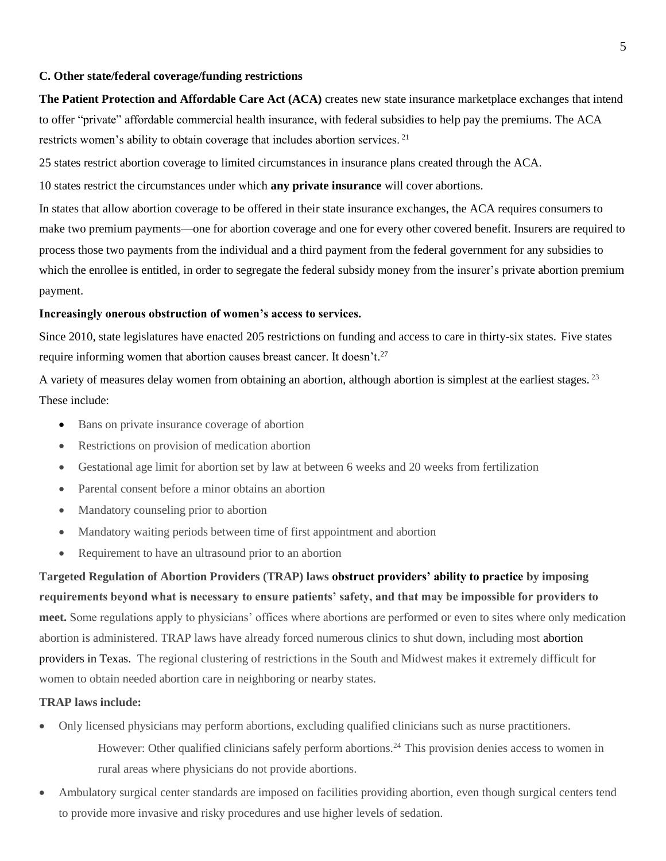## **C. Other state/federal coverage/funding restrictions**

**The Patient Protection and Affordable Care Act (ACA)** creates new state insurance marketplace exchanges that intend to offer "private" affordable commercial health insurance, with federal subsidies to help pay the premiums. The ACA restricts women's ability to obtain coverage that includes abortion services. <sup>21</sup>

25 states restrict abortion coverage to limited circumstances in insurance plans created through the ACA.

10 states restrict the circumstances under which **any private insurance** will cover abortions.

In states that allow abortion coverage to be offered in their state insurance exchanges, the ACA requires consumers to make two premium payments—one for abortion coverage and one for every other covered benefit. Insurers are required to process those two payments from the individual and a third payment from the federal government for any subsidies to which the enrollee is entitled, in order to segregate the federal subsidy money from the insurer's private abortion premium payment.

## **Increasingly onerous obstruction of women's access to services.**

Since 2010, state legislatures have enacted 205 restrictions on funding and access to care in thirty-six states. Five states require informing women that abortion causes breast cancer. It doesn't.<sup>27</sup>

A variety of measures delay women from obtaining an abortion, although abortion is simplest at the earliest stages. <sup>23</sup> These include:

- Bans on private insurance coverage of abortion
- Restrictions on provision of medication abortion
- Gestational age limit for abortion set by law at between 6 weeks and 20 weeks from fertilization
- Parental consent before a minor obtains an abortion
- Mandatory counseling prior to abortion
- Mandatory waiting periods between time of first appointment and abortion
- Requirement to have an ultrasound prior to an abortion

**Targeted Regulation of Abortion Providers (TRAP) laws obstruct providers' ability to practice by imposing requirements beyond what is necessary to ensure patients' safety, and that may be impossible for providers to meet.** Some regulations apply to physicians' offices where abortions are performed or even to sites where only medication abortion is administered. TRAP laws have already forced numerous clinics to shut down, including most abortion providers in Texas. The regional clustering of restrictions in the South and Midwest makes it extremely difficult for women to obtain needed abortion care in neighboring or nearby states.

## **TRAP laws include:**

- Only licensed physicians may perform abortions, excluding qualified clinicians such as nurse practitioners. However: Other qualified clinicians safely perform abortions.<sup>24</sup> This provision denies access to women in rural areas where physicians do not provide abortions.
- Ambulatory surgical center standards are imposed on facilities providing abortion, even though surgical centers tend to provide more invasive and risky procedures and use higher levels of sedation.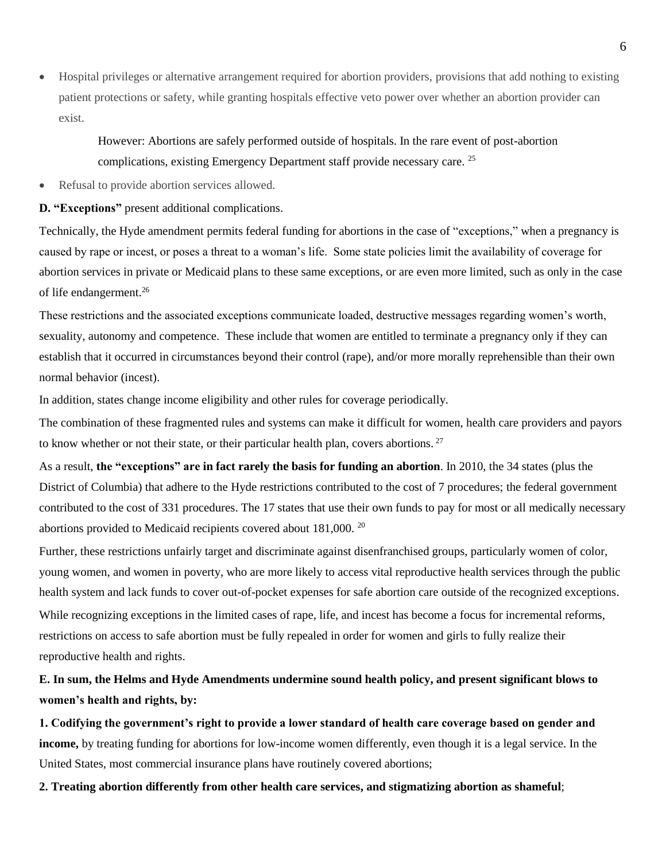Hospital privileges or alternative arrangement required for abortion providers, provisions that add nothing to existing patient protections or safety, while granting hospitals effective veto power over whether an abortion provider can exist.

However: Abortions are safely performed outside of hospitals. In the rare event of post-abortion complications, existing Emergency Department staff provide necessary care. <sup>25</sup>

• Refusal to provide abortion services allowed.

## **D. "Exceptions"** present additional complications.

Technically, the Hyde amendment permits federal funding for abortions in the case of "exceptions," when a pregnancy is caused by rape or incest, or poses a threat to a woman's life. Some state policies limit the availability of coverage for abortion services in private or Medicaid plans to these same exceptions, or are even more limited, such as only in the case of life endangerment.<sup>26</sup>

These restrictions and the associated exceptions communicate loaded, destructive messages regarding women's worth, sexuality, autonomy and competence. These include that women are entitled to terminate a pregnancy only if they can establish that it occurred in circumstances beyond their control (rape), and/or more morally reprehensible than their own normal behavior (incest).

In addition, states change income eligibility and other rules for coverage periodically.

The combination of these fragmented rules and systems can make it difficult for women, health care providers and payors to know whether or not their state, or their particular health plan, covers abortions.  $27$ 

As a result, **the "exceptions" are in fact rarely the basis for funding an abortion**. In 2010, the 34 states (plus the District of Columbia) that adhere to the Hyde restrictions contributed to the cost of 7 procedures; the federal government contributed to the cost of 331 procedures. The 17 states that use their own funds to pay for most or all medically necessary abortions provided to Medicaid recipients covered about 181,000. <sup>20</sup>

Further, these restrictions unfairly target and discriminate against disenfranchised groups, particularly women of color, young women, and women in poverty, who are more likely to access vital reproductive health services through the public health system and lack funds to cover out-of-pocket expenses for safe abortion care outside of the recognized exceptions. While recognizing exceptions in the limited cases of rape, life, and incest has become a focus for incremental reforms, restrictions on access to safe abortion must be fully repealed in order for women and girls to fully realize their reproductive health and rights.

## **E. In sum, the Helms and Hyde Amendments undermine sound health policy, and present significant blows to women's health and rights, by:**

**1. Codifying the government's right to provide a lower standard of health care coverage based on gender and income,** by treating funding for abortions for low-income women differently, even though it is a legal service. In the United States, most commercial insurance plans have routinely covered abortions;

**2. Treating abortion differently from other health care services, and stigmatizing abortion as shameful**;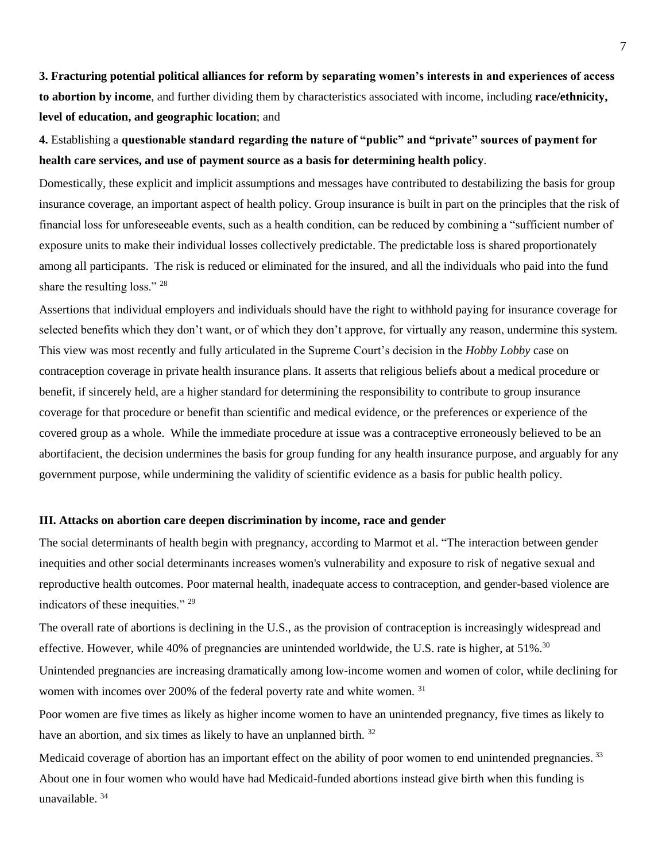**3. Fracturing potential political alliances for reform by separating women's interests in and experiences of access to abortion by income**, and further dividing them by characteristics associated with income, including **race/ethnicity, level of education, and geographic location**; and

**4.** Establishing a **questionable standard regarding the nature of "public" and "private" sources of payment for health care services, and use of payment source as a basis for determining health policy**.

Domestically, these explicit and implicit assumptions and messages have contributed to destabilizing the basis for group insurance coverage, an important aspect of health policy. Group insurance is built in part on the principles that the risk of financial loss for unforeseeable events, such as a health condition, can be reduced by combining a "sufficient number of exposure units to make their individual losses collectively predictable. The predictable loss is shared proportionately among all participants. The risk is reduced or eliminated for the insured, and all the individuals who paid into the fund share the resulting loss." <sup>28</sup>

Assertions that individual employers and individuals should have the right to withhold paying for insurance coverage for selected benefits which they don't want, or of which they don't approve, for virtually any reason, undermine this system. This view was most recently and fully articulated in the Supreme Court's decision in the *Hobby Lobby* case on contraception coverage in private health insurance plans. It asserts that religious beliefs about a medical procedure or benefit, if sincerely held, are a higher standard for determining the responsibility to contribute to group insurance coverage for that procedure or benefit than scientific and medical evidence, or the preferences or experience of the covered group as a whole. While the immediate procedure at issue was a contraceptive erroneously believed to be an abortifacient, the decision undermines the basis for group funding for any health insurance purpose, and arguably for any government purpose, while undermining the validity of scientific evidence as a basis for public health policy.

## **III. Attacks on abortion care deepen discrimination by income, race and gender**

The social determinants of health begin with pregnancy, according to Marmot et al. "The interaction between gender inequities and other social determinants increases women's vulnerability and [ex](http://www.sciencedirect.com.ezproxy.library.tufts.edu/science/article/pii/S0002937809009478#bib80)posure to risk of negative sexual and reproductive health outcomes. Poor maternal health, inadequate access to contraception, and gender-based violence are indicators of these inequities." <sup>29</sup>

The overall rate of abortions is declining in the U.S., as the provision of contraception is increasingly widespread and effective. However, while 40% of pregnancies are unintended worldwide, the U.S. rate is higher, at 51%.<sup>30</sup>

Unintended pregnancies are increasing dramatically among low-income women and women of color, while declining for women with incomes over 200% of the federal poverty rate and white women. <sup>31</sup>

Poor women are five times as likely as higher income women to have an unintended pregnancy, five times as likely to have an abortion, and six times as likely to have an unplanned birth. <sup>32</sup>

Medicaid coverage of abortion has an important effect on the ability of poor women to end unintended pregnancies.<sup>33</sup> About one in four women who would have had Medicaid-funded abortions instead give birth when this funding is unavailable. <sup>34</sup>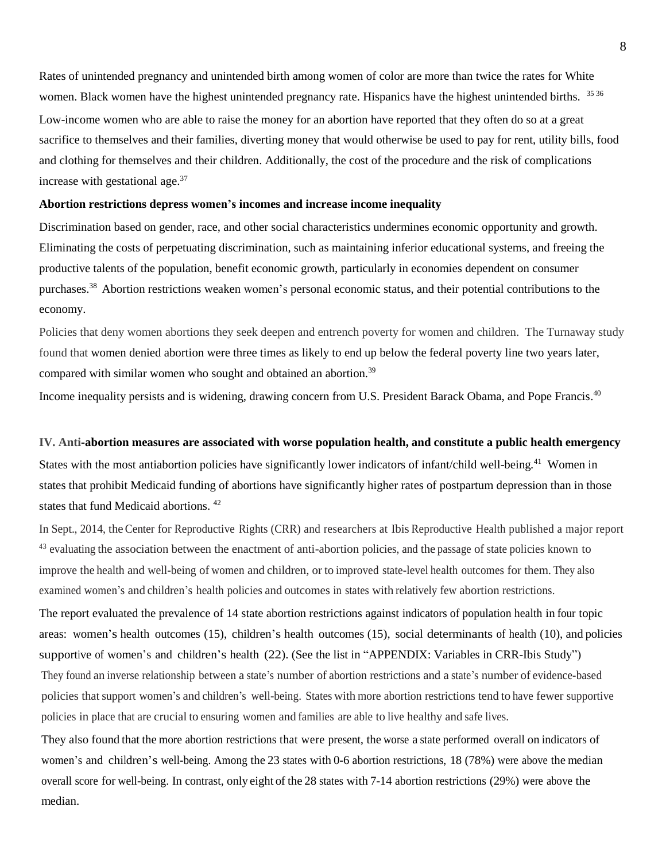Rates of unintended pregnancy and unintended birth among women of color are more than twice the rates for White women. Black women have the highest unintended pregnancy rate. Hispanics have the highest unintended births. 3536 Low-income women who are able to raise the money for an abortion have reported that they often do so at a great sacrifice to themselves and their families, diverting money that would otherwise be used to pay for rent, utility bills, food and clothing for themselves and their children. Additionally, the cost of the procedure and the risk of complications increase with gestational age.<sup>37</sup>

### **Abortion restrictions depress women's incomes and increase income inequality**

Discrimination based on gender, race, and other social characteristics undermines economic opportunity and growth. Eliminating the costs of perpetuating discrimination, such as maintaining inferior educational systems, and freeing the productive talents of the population, benefit economic growth, particularly in economies dependent on consumer purchases.<sup>38</sup>Abortion restrictions weaken women's personal economic status, and their potential contributions to the economy.

Policies that deny women abortions they seek deepen and entrench poverty for women and children. The Turnaway study found that women denied abortion were three times as likely to end up below the federal poverty line two years later, compared with similar women who sought and obtained an abortion.<sup>39</sup>

Income inequality persists and is widening, drawing concern from U.S. President Barack Obama, and Pope Francis.<sup>40</sup>

#### **IV. Anti-abortion measures are associated with worse population health, and constitute a public health emergency**

States with the most antiabortion policies have significantly lower indicators of infant/child well-being.<sup>41</sup> Women in states that prohibit Medicaid funding of abortions have significantly higher rates of postpartum depression than in those states that fund Medicaid abortions. <sup>42</sup>

In Sept., 2014, theCenter for Reproductive Rights (CRR) and researchers at Ibis Reproductive Health published a major report <sup>43</sup> evaluating the association between the enactment of anti-abortion policies, and the passage of state policies known to improve the health and well-being of women and children, or to improved state-level health outcomes for them. They also examined women's and children's health policies and outcomes in states with relatively few abortion restrictions. The report evaluated the prevalence of 14 state abortion restrictions against indicators of population health in four topic areas: women's health outcomes (15), children's health outcomes (15), social determinants of health (10), and policies supportive of women's and children's health (22). (See the list in "APPENDIX: Variables in CRR-Ibis Study") They found an inverse relationship between a state's number of abortion restrictions and a state's number of evidence-based policies thatsupport women's and children's well-being. States with more abortion restrictions tend to have fewer supportive policies in place that are crucial to ensuring women and families are able to live healthy and safe lives.

They also found that the more abortion restrictions that were present, the worse a state performed overall on indicators of women's and children's well-being. Among the 23 states with 0-6 abortion restrictions, 18 (78%) were above the median overall score for well-being. In contrast, only eight of the 28 states with 7-14 abortion restrictions (29%) were above the median.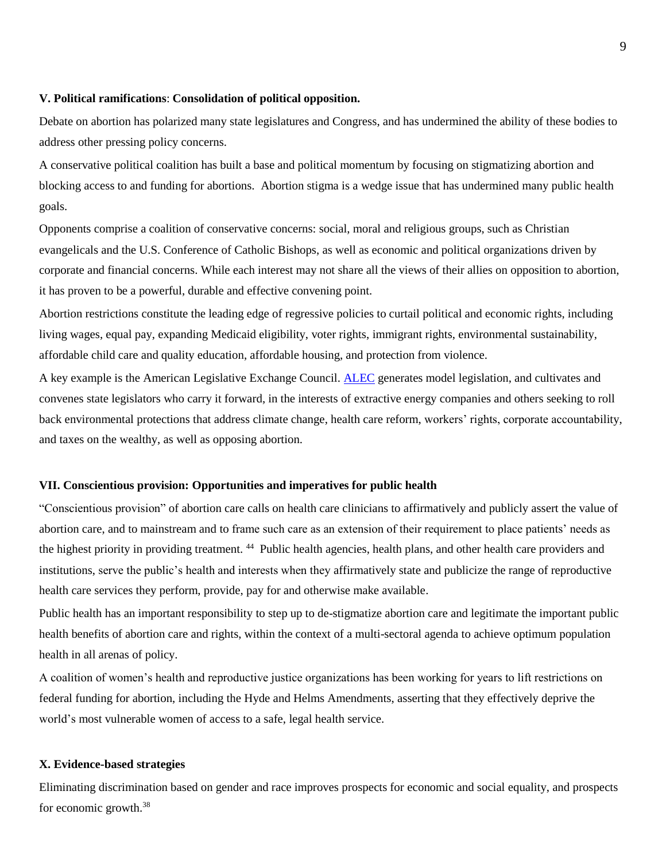### **V. Political ramifications**: **Consolidation of political opposition.**

Debate on abortion has polarized many state legislatures and Congress, and has undermined the ability of these bodies to address other pressing policy concerns.

A conservative political coalition has built a base and political momentum by focusing on stigmatizing abortion and blocking access to and funding for abortions. Abortion stigma is a wedge issue that has undermined many public health goals.

Opponents comprise a coalition of conservative concerns: social, moral and religious groups, such as Christian evangelicals and the U.S. Conference of Catholic Bishops, as well as economic and political organizations driven by corporate and financial concerns. While each interest may not share all the views of their allies on opposition to abortion, it has proven to be a powerful, durable and effective convening point.

Abortion restrictions constitute the leading edge of regressive policies to curtail political and economic rights, including living wages, equal pay, expanding Medicaid eligibility, voter rights, immigrant rights, environmental sustainability, affordable child care and quality education, affordable housing, and protection from violence.

A key example is the American Legislative Exchange Council. [ALEC](http://www.rightwingwatch.org/content/gates-foundation-raises-eyebrows-grant-right-wing-lobbying-group) generates model legislation, and cultivates and convenes state legislators who carry it forward, in the interests of extractive energy companies and others seeking to roll back environmental protections that address climate change, health care reform, workers' rights, corporate accountability, and taxes on the wealthy, as well as opposing abortion.

## **VII. Conscientious provision: Opportunities and imperatives for public health**

"Conscientious provision" of abortion care calls on health care clinicians to affirmatively and publicly assert the value of abortion care, and to mainstream and to frame such care as an extension of their requirement to place patients' needs as the highest priority in providing treatment. <sup>44</sup> Public health agencies, health plans, and other health care providers and institutions, serve the public's health and interests when they affirmatively state and publicize the range of reproductive health care services they perform, provide, pay for and otherwise make available.

Public health has an important responsibility to step up to de-stigmatize abortion care and legitimate the important public health benefits of abortion care and rights, within the context of a multi-sectoral agenda to achieve optimum population health in all arenas of policy.

A coalition of women's health and reproductive justice organizations has been working for years to lift restrictions on federal funding for abortion, including the Hyde and Helms Amendments, asserting that they effectively deprive the world's most vulnerable women of access to a safe, legal health service.

## **X. Evidence-based strategies**

Eliminating discrimination based on gender and race improves prospects for economic and social equality, and prospects for economic growth.38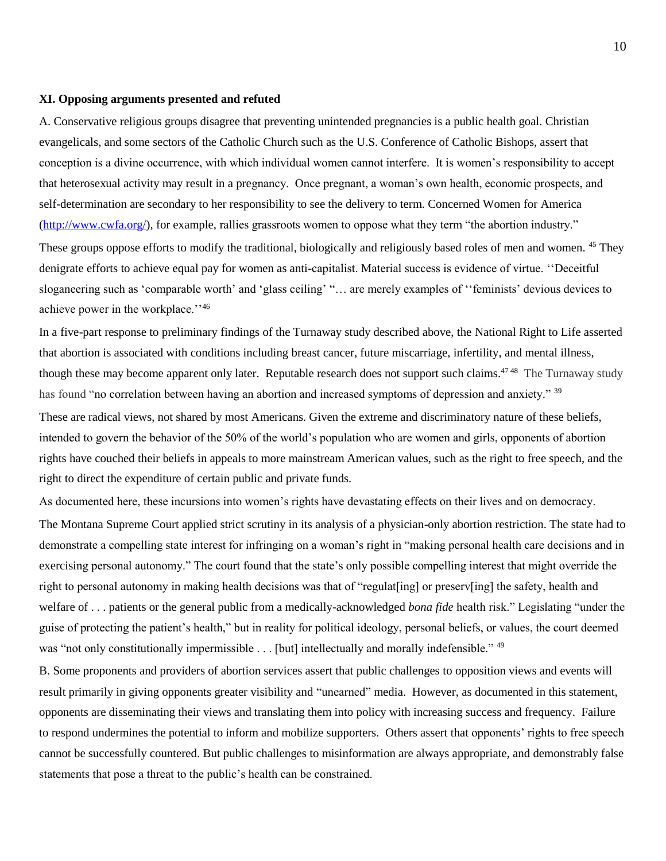#### **XI. Opposing arguments presented and refuted**

right to direct the expenditure of certain public and private funds.

A. Conservative religious groups disagree that preventing unintended pregnancies is a public health goal. Christian evangelicals, and some sectors of the Catholic Church such as the U.S. Conference of Catholic Bishops, assert that conception is a divine occurrence, with which individual women cannot interfere. It is women's responsibility to accept that heterosexual activity may result in a pregnancy. Once pregnant, a woman's own health, economic prospects, and self-determination are secondary to her responsibility to see the delivery to term. Concerned Women for America [\(http://www.cwfa.org/\)](http://www.cwfa.org/), for example, rallies grassroots women to oppose what they term "the abortion industry." These groups oppose efforts to modify the traditional, biologically and religiously based roles of men and women. <sup>45</sup> They denigrate efforts to achieve equal pay for women as anti-capitalist. Material success is evidence of virtue. ''Deceitful sloganeering such as 'comparable worth' and 'glass ceiling' "… are merely examples of ''feminists' devious devices to achieve power in the workplace.''<sup>46</sup>

In a five-part response to preliminary findings of the Turnaway study described above, the National Right to Life asserted that abortion is associated with conditions including breast cancer, future miscarriage, infertility, and mental illness, though these may become apparent only later. Reputable research does not support such claims.<sup>4748</sup> The Turnaway study has found "no correlation between having an abortion and increased symptoms of depression and anxiety." <sup>39</sup> These are radical views, not shared by most Americans. Given the extreme and discriminatory nature of these beliefs, intended to govern the behavior of the 50% of the world's population who are women and girls, opponents of abortion rights have couched their beliefs in appeals to more mainstream American values, such as the right to free speech, and the

As documented here, these incursions into women's rights have devastating effects on their lives and on democracy. The Montana Supreme Court applied strict scrutiny in its analysis of a physician-only abortion restriction. The state had to demonstrate a compelling state interest for infringing on a woman's right in "making personal health care decisions and in exercising personal autonomy." The court found that the state's only possible compelling interest that might override the right to personal autonomy in making health decisions was that of "regulat[ing] or preserv[ing] the safety, health and welfare of . . . patients or the general public from a medically-acknowledged *bona fide* health risk." Legislating "under the guise of protecting the patient's health," but in reality for political ideology, personal beliefs, or values, the court deemed was "not only constitutionally impermissible . . . [but] intellectually and morally indefensible." <sup>49</sup>

B. Some proponents and providers of abortion services assert that public challenges to opposition views and events will result primarily in giving opponents greater visibility and "unearned" media. However, as documented in this statement, opponents are disseminating their views and translating them into policy with increasing success and frequency. Failure to respond undermines the potential to inform and mobilize supporters. Others assert that opponents' rights to free speech cannot be successfully countered. But public challenges to misinformation are always appropriate, and demonstrably false statements that pose a threat to the public's health can be constrained.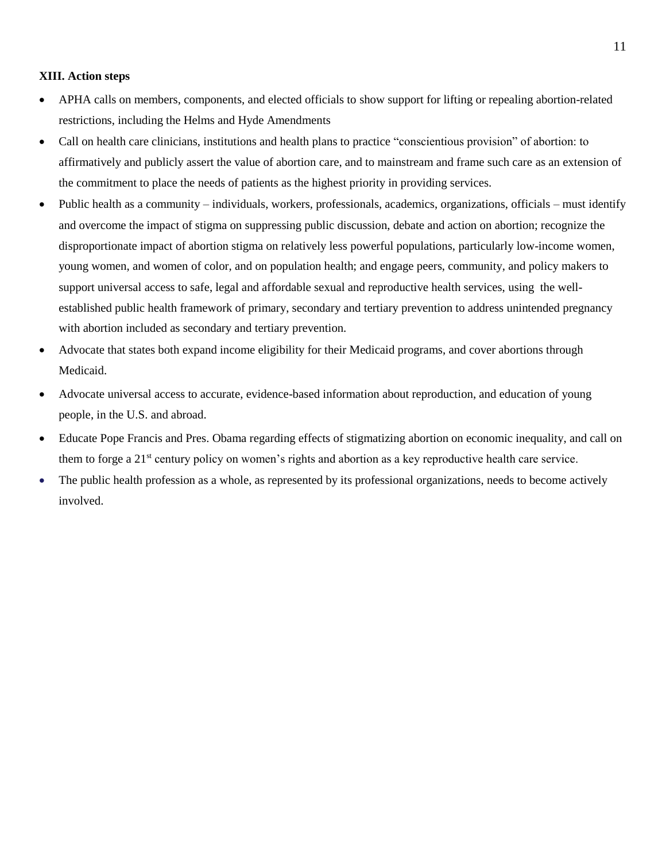## **XIII. Action steps**

- APHA calls on members, components, and elected officials to show support for lifting or repealing abortion-related restrictions, including the Helms and Hyde Amendments
- Call on health care clinicians, institutions and health plans to practice "conscientious provision" of abortion: to affirmatively and publicly assert the value of abortion care, and to mainstream and frame such care as an extension of the commitment to place the needs of patients as the highest priority in providing services.
- Public health as a community individuals, workers, professionals, academics, organizations, officials must identify and overcome the impact of stigma on suppressing public discussion, debate and action on abortion; recognize the disproportionate impact of abortion stigma on relatively less powerful populations, particularly low-income women, young women, and women of color, and on population health; and engage peers, community, and policy makers to support universal access to safe, legal and affordable sexual and reproductive health services, using the wellestablished public health framework of primary, secondary and tertiary prevention to address unintended pregnancy with abortion included as secondary and tertiary prevention.
- Advocate that states both expand income eligibility for their Medicaid programs, and cover abortions through Medicaid.
- Advocate universal access to accurate, evidence-based information about reproduction, and education of young people, in the U.S. and abroad.
- Educate Pope Francis and Pres. Obama regarding effects of stigmatizing abortion on economic inequality, and call on them to forge a 21st century policy on women's rights and abortion as a key reproductive health care service.
- The public health profession as a whole, as represented by its professional organizations, needs to become actively involved.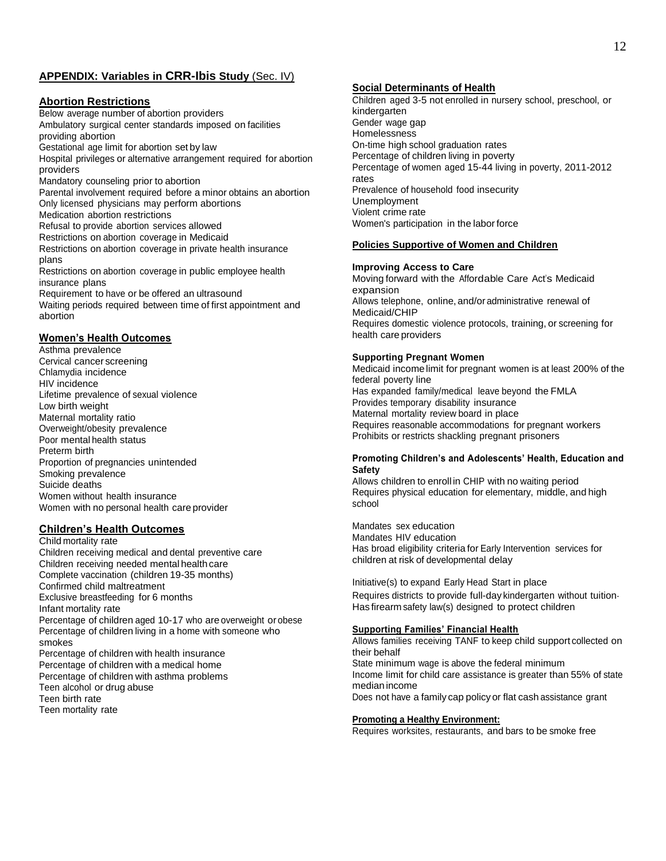## **APPENDIX: Variables in CRR-Ibis Study** (Sec. IV)

#### **Abortion Restrictions**

Below average number of abortion providers Ambulatory surgical center standards imposed on facilities providing abortion Gestational age limit for abortion set by law Hospital privileges or alternative arrangement required for abortion providers Mandatory counseling prior to abortion Parental involvement required before a minor obtains an abortion Only licensed physicians may perform abortions Medication abortion restrictions Refusal to provide abortion services allowed Restrictions on abortion coverage in Medicaid Restrictions on abortion coverage in private health insurance plans Restrictions on abortion coverage in public employee health insurance plans Requirement to have or be offered an ultrasound Waiting periods required between time of first appointment and abortion

#### **Women's Health Outcomes**

Asthma prevalence Cervical cancer screening Chlamydia incidence HIV incidence Lifetime prevalence of sexual violence Low birth weight Maternal mortality ratio Overweight/obesity prevalence Poor mental health status Preterm birth Proportion of pregnancies unintended Smoking prevalence Suicide deaths Women without health insurance Women with no personal health care provider

#### **Children's Health Outcomes**

Child mortality rate Children receiving medical and dental preventive care Children receiving needed mental health care Complete vaccination (children 19-35 months) Confirmed child maltreatment Exclusive breastfeeding for 6 months Infant mortality rate Percentage of children aged 10-17 who are overweight or obese Percentage of children living in a home with someone who smokes Percentage of children with health insurance Percentage of children with a medical home Percentage of children with asthma problems Teen alcohol or drug abuse Teen birth rate Teen mortality rate

#### **Social Determinants of Health**

Children aged 3-5 not enrolled in nursery school, preschool, or kindergarten Gender wage gap **Homelessness** On-time high school graduation rates Percentage of children living in poverty Percentage of women aged 15-44 living in poverty, 2011-2012 rates Prevalence of household food insecurity Unemployment Violent crime rate Women's participation in the labor force

#### **Policies Supportive of Women and Children**

#### **Improving Access to Care**

Moving forward with the Affordable Care Act's Medicaid expansion Allows telephone, online, and/oradministrative renewal of Medicaid/CHIP Requires domestic violence protocols, training, or screening for health care providers

#### **Supporting Pregnant Women**

Medicaid incomelimit for pregnant women is at least 200% of the federal poverty line Has expanded family/medical leave beyond the FMLA Provides temporary disability insurance Maternal mortality review board in place Requires reasonable accommodations for pregnant workers Prohibits or restricts shackling pregnant prisoners

#### **Promoting Children's and Adolescents' Health, Education and Safety**

Allows children to enroll in CHIP with no waiting period Requires physical education for elementary, middle, and high school

Mandates sex education Mandates HIV education Has broad eligibility criteria for Early Intervention services for children at risk of developmental delay

Initiative(s) to expand Early Head Start in place

Requires districts to provide full-day kindergarten without tuition. Has firearm safety law(s) designed to protect children

#### **Supporting Families' Financial Health**

Allows families receiving TANF to keep child support collected on their behalf State minimum wage is above the federal minimum Income limit for child care assistance is greater than 55% of state median income Does not have a family cap policy or flat cash assistance grant

#### **Promoting a Healthy Environment:**

Requires worksites, restaurants, and bars to be smoke free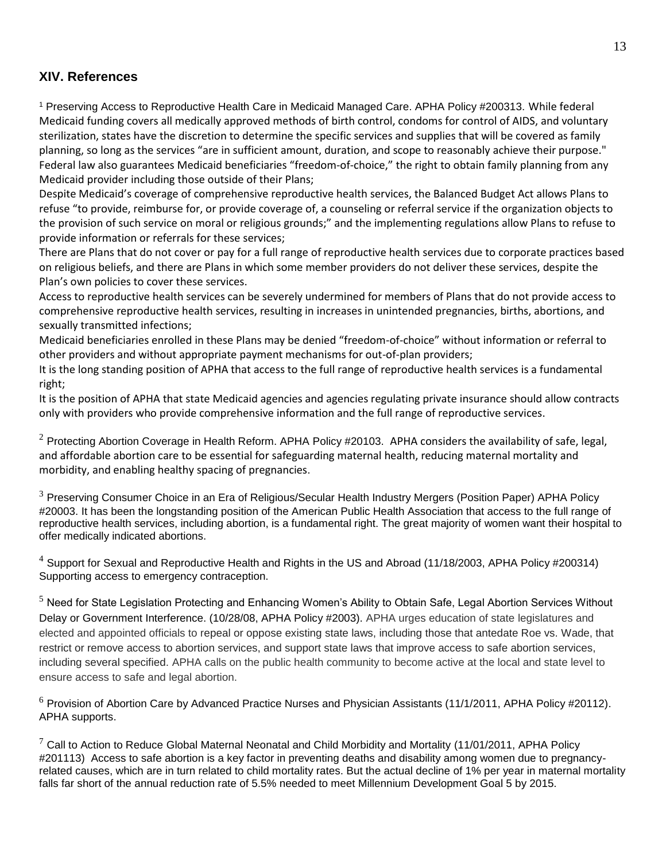## **XIV. References**

<sup>1</sup> Preserving Access to Reproductive Health Care in Medicaid Managed Care. APHA Policy #200313. While federal Medicaid funding covers all medically approved methods of birth control, condoms for control of AIDS, and voluntary sterilization, states have the discretion to determine the specific services and supplies that will be covered as family planning, so long as the services "are in sufficient amount, duration, and scope to reasonably achieve their purpose." Federal law also guarantees Medicaid beneficiaries "freedom-of-choice," the right to obtain family planning from any Medicaid provider including those outside of their Plans;

Despite Medicaid's coverage of comprehensive reproductive health services, the Balanced Budget Act allows Plans to refuse "to provide, reimburse for, or provide coverage of, a counseling or referral service if the organization objects to the provision of such service on moral or religious grounds;" and the implementing regulations allow Plans to refuse to provide information or referrals for these services;

There are Plans that do not cover or pay for a full range of reproductive health services due to corporate practices based on religious beliefs, and there are Plans in which some member providers do not deliver these services, despite the Plan's own policies to cover these services.

Access to reproductive health services can be severely undermined for members of Plans that do not provide access to comprehensive reproductive health services, resulting in increases in unintended pregnancies, births, abortions, and sexually transmitted infections;

Medicaid beneficiaries enrolled in these Plans may be denied "freedom-of-choice" without information or referral to other providers and without appropriate payment mechanisms for out-of-plan providers;

It is the long standing position of APHA that access to the full range of reproductive health services is a fundamental right;

It is the position of APHA that state Medicaid agencies and agencies regulating private insurance should allow contracts only with providers who provide comprehensive information and the full range of reproductive services.

 $2$  Protecting Abortion Coverage in Health Reform. APHA Policy #20103. APHA considers the availability of safe, legal, and affordable abortion care to be essential for safeguarding maternal health, reducing maternal mortality and morbidity, and enabling healthy spacing of pregnancies.

 $3$  Preserving Consumer Choice in an Era of Religious/Secular Health Industry Mergers (Position Paper) APHA Policy #20003. It has been the longstanding position of the American Public Health Association that access to the full range of reproductive health services, including abortion, is a fundamental right. The great majority of women want their hospital to offer medically indicated abortions.

<sup>4</sup> Support for Sexual and Reproductive Health and Rights in the US and Abroad (11/18/2003, APHA Policy #200314) Supporting access to emergency contraception.

<sup>5</sup> Need for State Legislation Protecting and Enhancing Women's Ability to Obtain Safe, Legal Abortion Services Without Delay or Government Interference. (10/28/08, APHA Policy #2003). APHA urges education of state legislatures and elected and appointed officials to repeal or oppose existing state laws, including those that antedate Roe vs. Wade, that restrict or remove access to abortion services, and support state laws that improve access to safe abortion services, including several specified. APHA calls on the public health community to become active at the local and state level to ensure access to safe and legal abortion.

 $6$  Provision of Abortion Care by Advanced Practice Nurses and Physician Assistants (11/1/2011, APHA Policy #20112). APHA supports.

 $7$  Call to Action to Reduce Global Maternal Neonatal and Child Morbidity and Mortality (11/01/2011, APHA Policy #201113) Access to safe abortion is a key factor in preventing deaths and disability among women due to pregnancyrelated causes, which are in turn related to child mortality rates. But the actual decline of 1% per year in maternal mortality falls far short of the annual reduction rate of 5.5% needed to meet Millennium Development Goal 5 by 2015.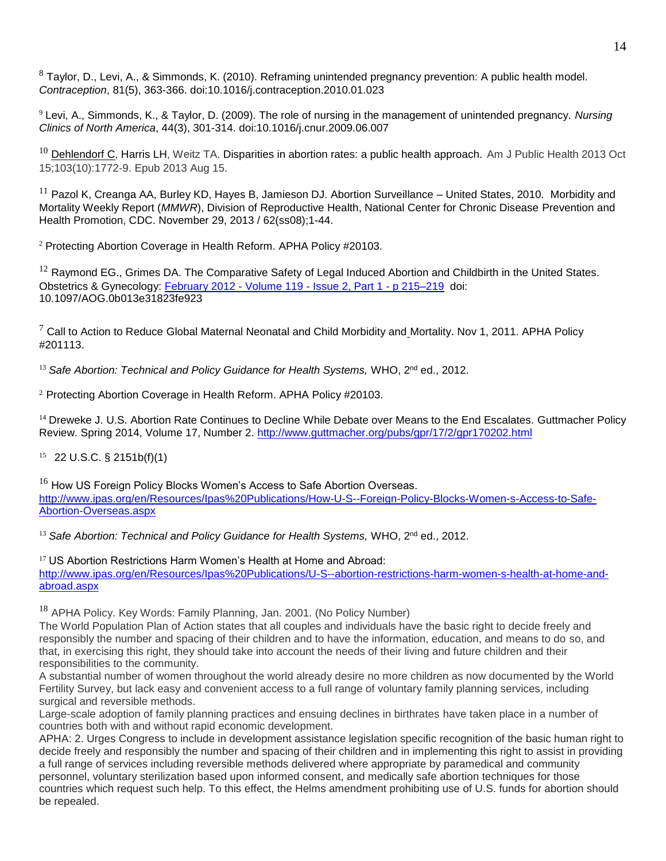$8$  Taylor, D., Levi, A., & Simmonds, K. (2010). Reframing unintended pregnancy prevention: A public health model. *Contraception*, 81(5), 363-366. doi:10.1016/j.contraception.2010.01.023

<sup>9</sup> Levi, A., Simmonds, K., & Taylor, D. (2009). The role of nursing in the management of unintended pregnancy. *Nursing Clinics of North America*, 44(3), 301-314. doi:10.1016/j.cnur.2009.06.007

 $^{10}$  [Dehlendorf](http://www.pubfacts.com/author/Christine+Dehlendorf) C, Harris LH, Weitz TA. Disparities in abortion rates: a public health approach. Am J Public Health 2013 Oct 15;103(10):1772-9. Epub 2013 Aug 15.

 $11$  Pazol K, Creanga AA, Burley KD, Hayes B, Jamieson DJ. Abortion Surveillance – United States, 2010. Morbidity and [Mortality Weekly Report \(](http://www.cdc.gov/mmwr/)*MMWR*), Division of Reproductive Health, National Center for Chronic Disease Prevention and Health Promotion, CDC. November 29, 2013 / 62(ss08);1-44.

<sup>2</sup> Protecting Abortion Coverage in Health Reform. APHA Policy #20103.

 $12$  Raymond EG., Grimes DA. The Comparative Safety of Legal Induced Abortion and Childbirth in the United States. Obstetrics & Gynecology: [February 2012 -](http://journals.lww.com/greenjournal/toc/2012/02000) Volume 119 - Issue 2, Part 1 - p 215–219 doi: 10.1097/AOG.0b013e31823fe923

 $7$  Call to Action to Reduce Global Maternal Neonatal and Child Morbidity and Mortality. Nov 1, 2011. APHA Policy #201113.

<sup>13</sup> Safe Abortion: Technical and Policy Guidance for Health Systems, WHO, 2<sup>nd</sup> ed., 2012.

<sup>2</sup> Protecting Abortion Coverage in Health Reform. APHA Policy #20103.

<sup>14</sup> Dreweke J. U.S. Abortion Rate Continues to Decline While Debate over Means to the End Escalates. Guttmacher Policy Review. Spring 2014, Volume 17, Number 2.<http://www.guttmacher.org/pubs/gpr/17/2/gpr170202.html>

15 22 U.S.C. § 2151b(f)(1)

 $16$  How US Foreign Policy Blocks Women's Access to Safe Abortion Overseas. [http://www.ipas.org/en/Resources/Ipas%20Publications/How-U-S--Foreign-Policy-Blocks-Women-s-Access-to-Safe-](http://www.ipas.org/en/Resources/Ipas%20Publications/How-U-S--Foreign-Policy-Blocks-Women-s-Access-to-Safe-Abortion-Overseas.aspx)[Abortion-Overseas.aspx](http://www.ipas.org/en/Resources/Ipas%20Publications/How-U-S--Foreign-Policy-Blocks-Women-s-Access-to-Safe-Abortion-Overseas.aspx)

<sup>13</sup> Safe Abortion: Technical and Policy Guidance for Health Systems, WHO, 2<sup>nd</sup> ed., 2012.

<sup>17</sup> US Abortion Restrictions Harm Women's Health at Home and Abroad: [http://www.ipas.org/en/Resources/Ipas%20Publications/U-S--abortion-restrictions-harm-women-s-health-at-home-and](http://www.ipas.org/en/Resources/Ipas%20Publications/U-S--abortion-restrictions-harm-women-s-health-at-home-and-abroad.aspx)[abroad.aspx](http://www.ipas.org/en/Resources/Ipas%20Publications/U-S--abortion-restrictions-harm-women-s-health-at-home-and-abroad.aspx)

<sup>18</sup> APHA Policy. Key Words: Family Planning, Jan. 2001. (No Policy Number)

The World Population Plan of Action states that all couples and individuals have the basic right to decide freely and responsibly the number and spacing of their children and to have the information, education, and means to do so, and that, in exercising this right, they should take into account the needs of their living and future children and their responsibilities to the community.

A substantial number of women throughout the world already desire no more children as now documented by the World Fertility Survey, but lack easy and convenient access to a full range of voluntary family planning services, including surgical and reversible methods.

Large-scale adoption of family planning practices and ensuing declines in birthrates have taken place in a number of countries both with and without rapid economic development.

APHA: 2. Urges Congress to include in development assistance legislation specific recognition of the basic human right to decide freely and responsibly the number and spacing of their children and in implementing this right to assist in providing a full range of services including reversible methods delivered where appropriate by paramedical and community personnel, voluntary sterilization based upon informed consent, and medically safe abortion techniques for those countries which request such help. To this effect, the Helms amendment prohibiting use of U.S. funds for abortion should be repealed.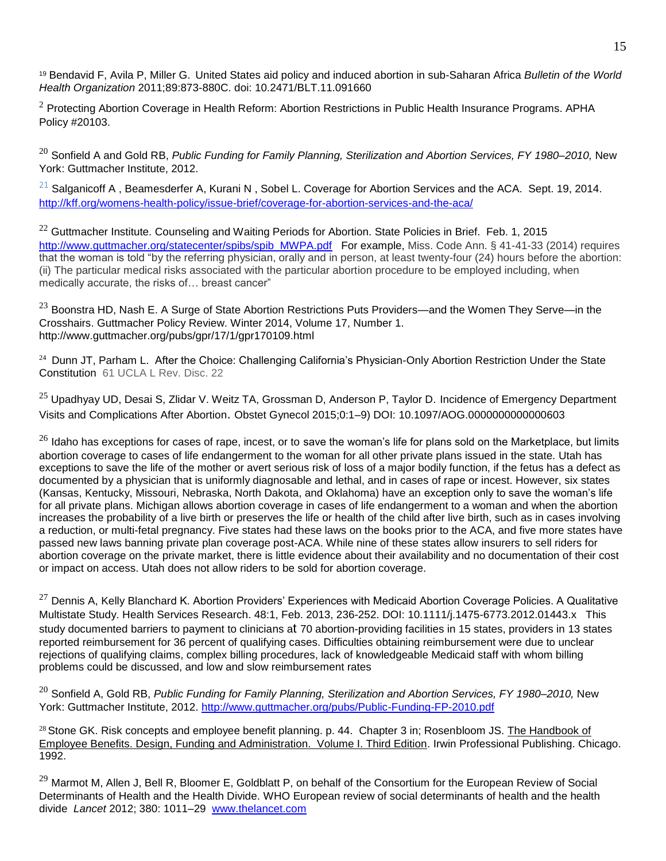<sup>19</sup> Bendavid F, Avila P, Miller G. United States aid policy and induced abortion in sub-Saharan Africa *Bulletin of the World Health Organization* 2011;89:873-880C. doi: 10.2471/BLT.11.091660

 $2$  Protecting Abortion Coverage in Health Reform: Abortion Restrictions in Public Health Insurance Programs. APHA Policy #20103.

<sup>20</sup> Sonfield A and Gold RB, *Public Funding for Family Planning, Sterilization and Abortion Services, FY 1980–2010,* New York: Guttmacher Institute, 2012.

 $21$  Salganicoff A, Beamesderfer A, Kurani N, Sobel L. Coverage for Abortion Services and the ACA. Sept. 19, 2014. <http://kff.org/womens-health-policy/issue-brief/coverage-for-abortion-services-and-the-aca/>

 $22$  Guttmacher Institute. Counseling and Waiting Periods for Abortion. State Policies in Brief. Feb. 1, 2015 [http://www.guttmacher.org/statecenter/spibs/spib\\_MWPA.pdf](http://www.guttmacher.org/statecenter/spibs/spib_MWPA.pdf) For example, Miss. Code Ann. § 41-41-33 (2014) requires that the woman is told "by the referring physician, orally and in person, at least twenty-four (24) hours before the abortion: (ii) The particular medical risks associated with the particular abortion procedure to be employed including, when medically accurate, the risks of… breast cancer"

<sup>23</sup> Boonstra HD, Nash E. A Surge of State Abortion Restrictions Puts Providers—and the Women They Serve—in the Crosshairs. Guttmacher Policy Review. Winter 2014, Volume 17, Number 1. http://www.guttmacher.org/pubs/gpr/17/1/gpr170109.html

24 Dunn JT, Parham L. After the Choice: Challenging California's Physician-Only Abortion Restriction Under the State Constitution 61 UCLA L Rev. Disc. 22

<sup>25</sup> Upadhyay UD, Desai S, Zlidar V. Weitz TA, Grossman D, Anderson P, Taylor D. Incidence of Emergency Department Visits and Complications After Abortion. Obstet Gynecol 2015;0:1–9) DOI: 10.1097/AOG.0000000000000603

 $26$  Idaho has exceptions for cases of rape, incest, or to save the woman's life for plans sold on the Marketplace, but limits abortion coverage to cases of life endangerment to the woman for all other private plans issued in the state. Utah has exceptions to save the life of the mother or avert serious risk of loss of a major bodily function, if the fetus has a defect as documented by a physician that is uniformly diagnosable and lethal, and in cases of rape or incest. However, six states (Kansas, Kentucky, Missouri, Nebraska, North Dakota, and Oklahoma) have an exception only to save the woman's life for all private plans. Michigan allows abortion coverage in cases of life endangerment to a woman and when the abortion increases the probability of a live birth or preserves the life or health of the child after live birth, such as in cases involving a reduction, or multi-fetal pregnancy. Five states had these laws on the books prior to the ACA, and five more states have passed new laws banning private plan coverage post-ACA. While nine of these states allow insurers to sell riders for abortion coverage on the private market, there is little evidence about their availability and no documentation of their cost or impact on access. Utah does not allow riders to be sold for abortion coverage.

 $^{27}$  Dennis A, Kelly Blanchard K. Abortion Providers' Experiences with Medicaid Abortion Coverage Policies. A Qualitative Multistate Study. Health Services Research. 48:1, Feb. 2013, 236-252. DOI: 10.1111/j.1475-6773.2012.01443.x This study documented barriers to payment to clinicians at 70 abortion-providing facilities in 15 states, providers in 13 states reported reimbursement for 36 percent of qualifying cases. Difficulties obtaining reimbursement were due to unclear rejections of qualifying claims, complex billing procedures, lack of knowledgeable Medicaid staff with whom billing problems could be discussed, and low and slow reimbursement rates

<sup>20</sup> Sonfield A, Gold RB, *Public Funding for Family Planning, Sterilization and Abortion Services, FY 1980–2010,* New York: Guttmacher Institute, 2012.<http://www.guttmacher.org/pubs/Public-Funding-FP-2010.pdf>

<sup>28</sup> Stone GK. Risk concepts and employee benefit planning. p. 44. Chapter 3 in; Rosenbloom JS. The Handbook of Employee Benefits. Design, Funding and Administration. Volume I. Third Edition. Irwin Professional Publishing. Chicago. 1992.

<sup>29</sup> Marmot M, Allen J, Bell R, Bloomer E, Goldblatt P, on behalf of the Consortium for the European Review of Social Determinants of Health and the Health Divide. WHO European review of social determinants of health and the health divide *Lancet* 2012; 380: 1011–29[www.thelancet.com](http://www.thelancet.com/)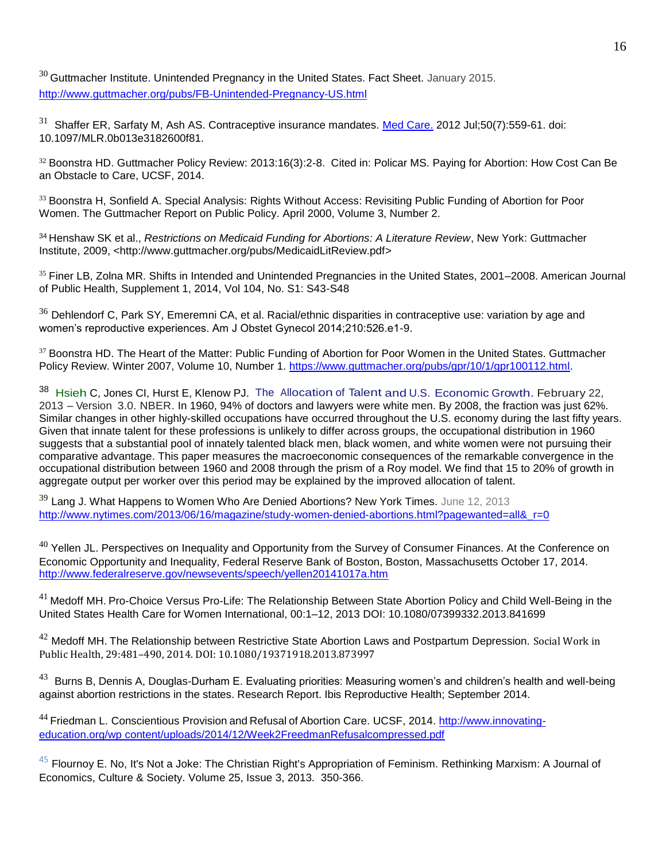$30$  Guttmacher Institute. Unintended Pregnancy in the United States. Fact Sheet. January 2015. <http://www.guttmacher.org/pubs/FB-Unintended-Pregnancy-US.html>

<sup>31</sup> [Shaffer ER,](http://www.ncbi.nlm.nih.gov/pubmed/?term=Shaffer%20ER%5BAuthor%5D&cauthor=true&cauthor_uid=22688786) [Sarfaty M,](http://www.ncbi.nlm.nih.gov/pubmed/?term=Sarfaty%20M%5BAuthor%5D&cauthor=true&cauthor_uid=22688786) [Ash AS.](http://www.ncbi.nlm.nih.gov/pubmed/?term=Ash%20AS%5BAuthor%5D&cauthor=true&cauthor_uid=22688786) Contraceptive insurance mandates. [Med Care.](http://www.ncbi.nlm.nih.gov/pubmed/22688786) 2012 Jul;50(7):559-61. doi: 10.1097/MLR.0b013e3182600f81.

<sup>32</sup> Boonstra HD. Guttmacher Policy Review: 2013:16(3):2-8. Cited in: Policar MS. Paying for Abortion: How Cost Can Be an Obstacle to Care, UCSF, 2014.

<sup>33</sup> Boonstra H, Sonfield A, Special Analysis: Rights Without Access: Revisiting Public Funding of Abortion for Poor Women. The Guttmacher Report on Public Policy. April 2000, Volume 3, Number 2.

<sup>34</sup>Henshaw SK et al., *Restrictions on Medicaid Funding for Abortions: A Literature Review*, New York: Guttmacher Institute, 2009, [<http://www.guttmacher.org/pubs/MedicaidLitReview.pdf>](http://www.guttmacher.org/pubs/MedicaidLitReview.pdf)

<sup>35</sup> Finer LB, Zolna MR. Shifts in Intended and Unintended Pregnancies in the United States, 2001–2008. American Journal of Public Health, Supplement 1, 2014, Vol 104, No. S1: S43-S48

 $36$  Dehlendorf C, Park SY, Emeremni CA, et al. Racial/ethnic disparities in contraceptive use: variation by age and women's reproductive experiences. Am J Obstet Gynecol 2014;210:526.e1-9.

<sup>37</sup> Boonstra HD. The Heart of the Matter: Public Funding of Abortion for Poor Women in the United States. Guttmacher Policy Review. Winter 2007, Volume 10, Number 1. [https://www.guttmacher.org/pubs/gpr/10/1/gpr100112.html.](https://www.guttmacher.org/pubs/gpr/10/1/gpr100112.html)

38 [Hsieh](http://faculty.chicagobooth.edu/chang-tai.hsieh/index.html) C, Jones CI, Hurst E, Klenow PJ. The Allocation of Talent and U.S. Economic Growth. February 22, 2013 – Version 3.0. NBER. In 1960, 94% of doctors and lawyers were white men. By 2008, the fraction was just 62%. Similar changes in other highly-skilled occupations have occurred throughout the U.S. economy during the last fifty years. Given that innate talent for these professions is unlikely to differ across groups, the occupational distribution in 1960 suggests that a substantial pool of innately talented black men, black women, and white women were not pursuing their comparative advantage. This paper measures the macroeconomic consequences of the remarkable convergence in the occupational distribution between 1960 and 2008 through the prism of a Roy model. We find that 15 to 20% of growth in aggregate output per worker over this period may be explained by the improved allocation of talent.

 $39$  Lang J. What Happens to Women Who Are Denied Abortions? New York Times. June 12, 2013 http://www.nytimes.com/2013/06/16/magazine/study-women-denied-abortions.html?pagewanted=all&r=0

 $40$  Yellen JL. Perspectives on Inequality and Opportunity from the Survey of Consumer Finances. At the Conference on Economic Opportunity and Inequality, Federal Reserve Bank of Boston, Boston, Massachusetts October 17, 2014. <http://www.federalreserve.gov/newsevents/speech/yellen20141017a.htm>

 $41$  Medoff MH. Pro-Choice Versus Pro-Life: The Relationship Between State Abortion Policy and Child Well-Being in the United States Health Care for Women International, 00:1–12, 2013 DOI: 10.1080/07399332.2013.841699

 $42$  Medoff MH. The Relationship between Restrictive State Abortion Laws and Postpartum Depression. Social Work in Public Health, 29:481–490, 2014. DOI: 10.1080/19371918.2013.873997

 $^{43}$  Burns B, Dennis A, Douglas-Durham E. Evaluating priorities: Measuring women's and children's health and well-being against abortion restrictions in the states. Research Report. Ibis Reproductive Health; September 2014.

<sup>44</sup> Friedman L. Conscientious Provision and Refusal of Abortion Care. UCSF, 2014. [http://www.innovating](http://www.innovating-education.org/wp%20content/uploads/2014/12/Week2FreedmanRefusalcompressed.pdf)[education.org/wp content/uploads/2014/12/Week2FreedmanRefusalcompressed.pdf](http://www.innovating-education.org/wp%20content/uploads/2014/12/Week2FreedmanRefusalcompressed.pdf)

 $45$  Flournoy E. No, It's Not a Joke: The Christian Right's Appropriation of Feminism. Rethinking Marxism: A Journal of Economics, Culture & Society. [Volume 25,](http://www.tandfonline.com/loi/rrmx20?open=25#vol_25) [Issue 3,](http://www.tandfonline.com/toc/rrmx20/25/3) 2013. 350-366.